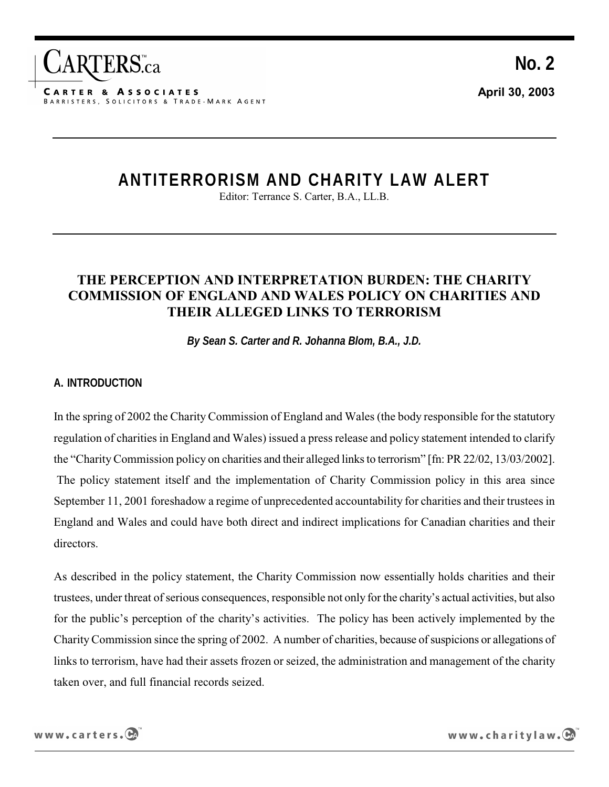

# **ANTITERRORISM AND CHARITY LAW ALERT**

Editor: Terrance S. Carter, B.A., LL.B.

# **THE PERCEPTION AND INTERPRETATION BURDEN: THE CHARITY COMMISSION OF ENGLAND AND WALES POLICY ON CHARITIES AND THEIR ALLEGED LINKS TO TERRORISM**

*By Sean S. Carter and R. Johanna Blom, B.A., J.D.*

#### **A. INTRODUCTION**

In the spring of 2002 the Charity Commission of England and Wales (the body responsible for the statutory regulation of charities in England and Wales) issued a press release and policy statement intended to clarify the "Charity Commission policy on charities and their alleged links to terrorism" [fn: PR 22/02, 13/03/2002]. The policy statement itself and the implementation of Charity Commission policy in this area since September 11, 2001 foreshadow a regime of unprecedented accountability for charities and their trustees in England and Wales and could have both direct and indirect implications for Canadian charities and their directors.

As described in the policy statement, the Charity Commission now essentially holds charities and their trustees, under threat of serious consequences, responsible not only for the charity's actual activities, but also for the public's perception of the charity's activities. The policy has been actively implemented by the Charity Commission since the spring of 2002. A number of charities, because of suspicions or allegations of links to terrorism, have had their assets frozen or seized, the administration and management of the charity taken over, and full financial records seized.

www.charitylaw.CA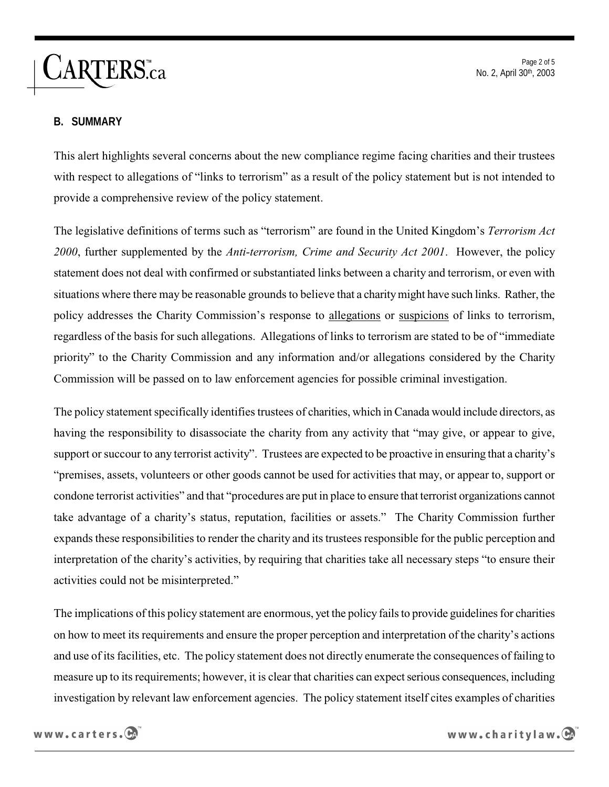**CARTERS**.ca

Page 2 of 5 No. 2, April 30th, 2003

#### **B. SUMMARY**

This alert highlights several concerns about the new compliance regime facing charities and their trustees with respect to allegations of "links to terrorism" as a result of the policy statement but is not intended to provide a comprehensive review of the policy statement.

The legislative definitions of terms such as "terrorism" are found in the United Kingdom's *Terrorism Act 2000*, further supplemented by the *Anti-terrorism, Crime and Security Act 2001*. However, the policy statement does not deal with confirmed or substantiated links between a charity and terrorism, or even with situations where there may be reasonable grounds to believe that a charity might have such links. Rather, the policy addresses the Charity Commission's response to allegations or suspicions of links to terrorism, regardless of the basis for such allegations. Allegations of links to terrorism are stated to be of "immediate priority" to the Charity Commission and any information and/or allegations considered by the Charity Commission will be passed on to law enforcement agencies for possible criminal investigation.

The policy statement specifically identifies trustees of charities, which in Canada would include directors, as having the responsibility to disassociate the charity from any activity that "may give, or appear to give, support or succour to any terrorist activity". Trustees are expected to be proactive in ensuring that a charity's "premises, assets, volunteers or other goods cannot be used for activities that may, or appear to, support or condone terrorist activities" and that "procedures are put in place to ensure that terrorist organizations cannot take advantage of a charity's status, reputation, facilities or assets." The Charity Commission further expands these responsibilities to render the charity and its trustees responsible for the public perception and interpretation of the charity's activities, by requiring that charities take all necessary steps "to ensure their activities could not be misinterpreted."

The implications of this policy statement are enormous, yet the policy fails to provide guidelines for charities on how to meet its requirements and ensure the proper perception and interpretation of the charity's actions and use of its facilities, etc. The policy statement does not directly enumerate the consequences of failing to measure up to its requirements; however, it is clear that charities can expect serious consequences, including investigation by relevant law enforcement agencies. The policy statement itself cites examples of charities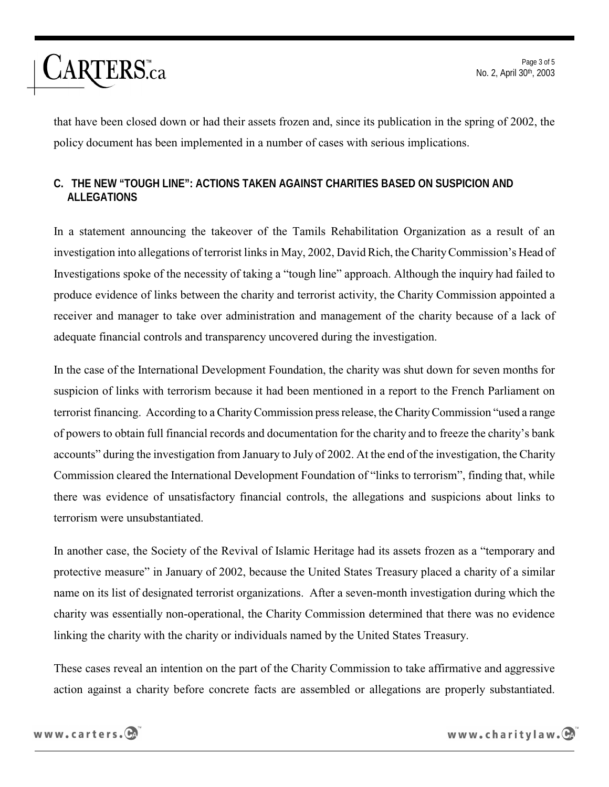

that have been closed down or had their assets frozen and, since its publication in the spring of 2002, the policy document has been implemented in a number of cases with serious implications.

## **C. THE NEW "TOUGH LINE": ACTIONS TAKEN AGAINST CHARITIES BASED ON SUSPICION AND ALLEGATIONS**

In a statement announcing the takeover of the Tamils Rehabilitation Organization as a result of an investigation into allegations of terrorist links in May, 2002, David Rich, the Charity Commission's Head of Investigations spoke of the necessity of taking a "tough line" approach. Although the inquiry had failed to produce evidence of links between the charity and terrorist activity, the Charity Commission appointed a receiver and manager to take over administration and management of the charity because of a lack of adequate financial controls and transparency uncovered during the investigation.

In the case of the International Development Foundation, the charity was shut down for seven months for suspicion of links with terrorism because it had been mentioned in a report to the French Parliament on terrorist financing. According to a Charity Commission press release, the Charity Commission "used a range of powers to obtain full financial records and documentation for the charity and to freeze the charity's bank accounts" during the investigation from January to July of 2002. At the end of the investigation, the Charity Commission cleared the International Development Foundation of "links to terrorism", finding that, while there was evidence of unsatisfactory financial controls, the allegations and suspicions about links to terrorism were unsubstantiated.

In another case, the Society of the Revival of Islamic Heritage had its assets frozen as a "temporary and protective measure" in January of 2002, because the United States Treasury placed a charity of a similar name on its list of designated terrorist organizations. After a seven-month investigation during which the charity was essentially non-operational, the Charity Commission determined that there was no evidence linking the charity with the charity or individuals named by the United States Treasury.

These cases reveal an intention on the part of the Charity Commission to take affirmative and aggressive action against a charity before concrete facts are assembled or allegations are properly substantiated.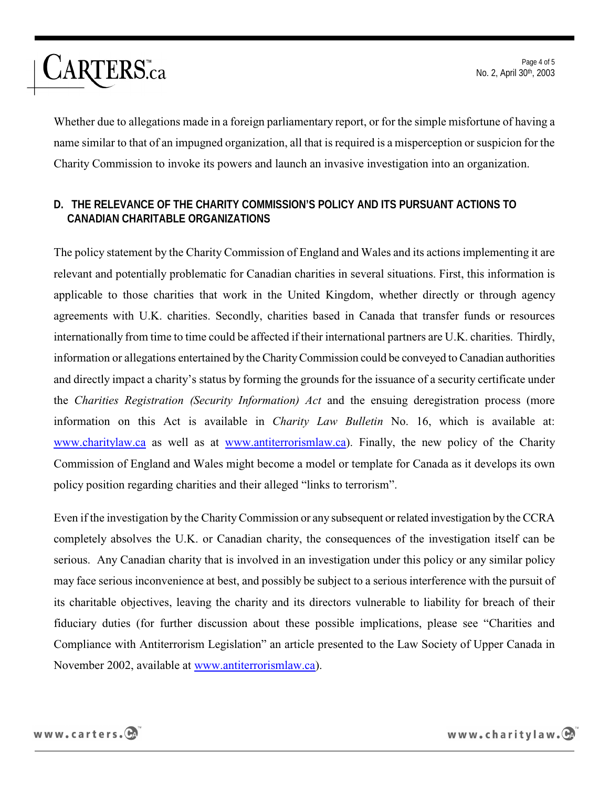Page 4 of 5 No. 2, April 30th, 2003

Whether due to allegations made in a foreign parliamentary report, or for the simple misfortune of having a name similar to that of an impugned organization, all that is required is a misperception or suspicion for the Charity Commission to invoke its powers and launch an invasive investigation into an organization.

### **D. THE RELEVANCE OF THE CHARITY COMMISSION'S POLICY AND ITS PURSUANT ACTIONS TO CANADIAN CHARITABLE ORGANIZATIONS**

The policy statement by the Charity Commission of England and Wales and its actions implementing it are relevant and potentially problematic for Canadian charities in several situations. First, this information is applicable to those charities that work in the United Kingdom, whether directly or through agency agreements with U.K. charities. Secondly, charities based in Canada that transfer funds or resources internationally from time to time could be affected if their international partners are U.K. charities. Thirdly, information or allegations entertained by the Charity Commission could be conveyed to Canadian authorities and directly impact a charity's status by forming the grounds for the issuance of a security certificate under the *Charities Registration (Security Information) Act* and the ensuing deregistration process (more information on this Act is available in *Charity Law Bulletin* No. 16, which is available at: www.charitylaw.ca as well as at www.antiterrorismlaw.ca). Finally, the new policy of the Charity Commission of England and Wales might become a model or template for Canada as it develops its own policy position regarding charities and their alleged "links to terrorism".

Even if the investigation by the Charity Commission or any subsequent or related investigation by the CCRA completely absolves the U.K. or Canadian charity, the consequences of the investigation itself can be serious. Any Canadian charity that is involved in an investigation under this policy or any similar policy may face serious inconvenience at best, and possibly be subject to a serious interference with the pursuit of its charitable objectives, leaving the charity and its directors vulnerable to liability for breach of their fiduciary duties (for further discussion about these possible implications, please see "Charities and Compliance with Antiterrorism Legislation" an article presented to the Law Society of Upper Canada in November 2002, available at www.antiterrorismlaw.ca).



**CARTERS**.ca

www.charitylaw.CA